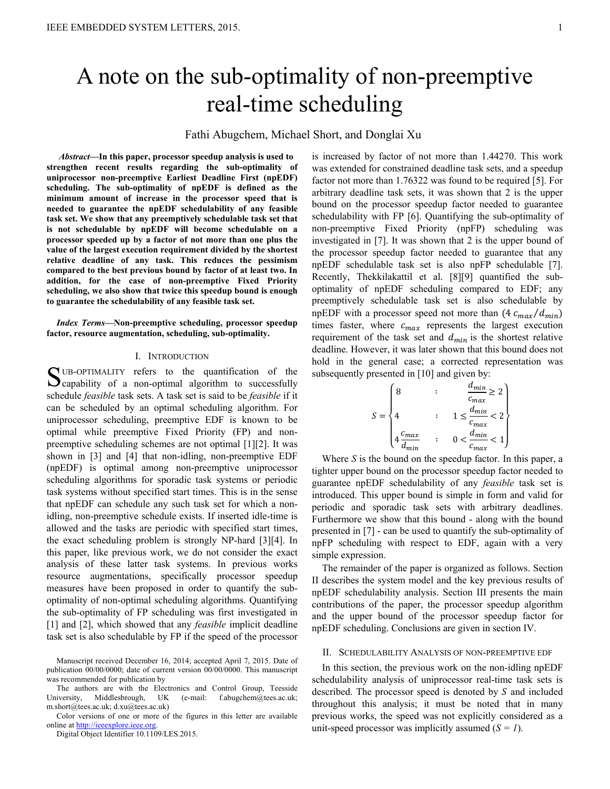# A note on the sub-optimality of non-preemptive real-time scheduling

## Fathi Abugchem, Michael Short, and Donglai Xu

*Abstract—***In this paper, processor speedup analysis is used to strengthen recent results regarding the sub-optimality of uniprocessor non-preemptive Earliest Deadline First (npEDF) scheduling. The sub-optimality of npEDF is defined as the minimum amount of increase in the processor speed that is needed to guarantee the npEDF schedulability of any feasible task set. We show that any preemptively schedulable task set that is not schedulable by npEDF will become schedulable on a processor speeded up by a factor of not more than one plus the value of the largest execution requirement divided by the shortest relative deadline of any task. This reduces the pessimism compared to the best previous bound by factor of at least two. In addition, for the case of non-preemptive Fixed Priority scheduling, we also show that twice this speedup bound is enough to guarantee the schedulability of any feasible task set.** 

*Index Terms***—Non-preemptive scheduling, processor speedup factor, resource augmentation, scheduling, sub-optimality.** 

## I. INTRODUCTION

UB-OPTIMALITY refers to the quantification of the  $\sum$ UB-OPTIMALITY refers to the quantification of the capability of a non-optimal algorithm to successfully schedule *feasible* task sets. A task set is said to be *feasible* if it can be scheduled by an optimal scheduling algorithm. For uniprocessor scheduling, preemptive EDF is known to be optimal while preemptive Fixed Priority (FP) and nonpreemptive scheduling schemes are not optimal [1][2]. It was shown in [3] and [4] that non-idling, non-preemptive EDF (npEDF) is optimal among non-preemptive uniprocessor scheduling algorithms for sporadic task systems or periodic task systems without specified start times. This is in the sense that npEDF can schedule any such task set for which a nonidling, non-preemptive schedule exists. If inserted idle-time is allowed and the tasks are periodic with specified start times, the exact scheduling problem is strongly NP-hard [3][4]. In this paper, like previous work, we do not consider the exact analysis of these latter task systems. In previous works resource augmentations, specifically processor speedup measures have been proposed in order to quantify the suboptimality of non-optimal scheduling algorithms. Quantifying the sub-optimality of FP scheduling was first investigated in [1] and [2], which showed that any *feasible* implicit deadline task set is also schedulable by FP if the speed of the processor

The authors are with the Electronics and Control Group, Teesside University, Middlesbrough, UK (e-mail: f.abugchem@tees.ac.uk; m.short@tees.ac.uk; d.xu@tees.ac.uk)

Color versions of one or more of the figures in this letter are available online at http://ieeexplore.ieee.org.

Digital Object Identifier 10.1109/LES.2015.

is increased by factor of not more than 1.44270. This work was extended for constrained deadline task sets, and a speedup factor not more than 1.76322 was found to be required [5]. For arbitrary deadline task sets, it was shown that 2 is the upper bound on the processor speedup factor needed to guarantee schedulability with FP [6]. Quantifying the sub-optimality of non-preemptive Fixed Priority (npFP) scheduling was investigated in [7]. It was shown that 2 is the upper bound of the processor speedup factor needed to guarantee that any npEDF schedulable task set is also npFP schedulable [7]. Recently, Thekkilakattil et al. [8][9] quantified the suboptimality of npEDF scheduling compared to EDF; any preemptively schedulable task set is also schedulable by npEDF with a processor speed not more than  $(4\ \epsilon_{max}/d_{min})$ times faster, where  $c_{max}$  represents the largest execution requirement of the task set and  $d_{min}$  is the shortest relative deadline. However, it was later shown that this bound does not hold in the general case; a corrected representation was subsequently presented in [10] and given by:

$$
S = \begin{cases} 8 & : & \frac{d_{min}}{c_{max}} \ge 2 \\ 4 & : & 1 \le \frac{d_{min}}{c_{max}} < 2 \\ 4 \frac{c_{max}}{d_{min}} & : & 0 < \frac{d_{min}}{c_{max}} < 1 \end{cases}
$$

Where *S* is the bound on the speedup factor. In this paper, a tighter upper bound on the processor speedup factor needed to guarantee npEDF schedulability of any *feasible* task set is introduced. This upper bound is simple in form and valid for periodic and sporadic task sets with arbitrary deadlines. Furthermore we show that this bound - along with the bound presented in [7] - can be used to quantify the sub-optimality of npFP scheduling with respect to EDF, again with a very simple expression.

The remainder of the paper is organized as follows. Section II describes the system model and the key previous results of npEDF schedulability analysis. Section III presents the main contributions of the paper, the processor speedup algorithm and the upper bound of the processor speedup factor for npEDF scheduling. Conclusions are given in section IV.

#### II. SCHEDULABILITY ANALYSIS OF NON-PREEMPTIVE EDF

In this section, the previous work on the non-idling npEDF schedulability analysis of uniprocessor real-time task sets is described. The processor speed is denoted by  $S$  and included throughout this analysis; it must be noted that in many previous works, the speed was not explicitly considered as a unit-speed processor was implicitly assumed  $(S = I)$ .

Manuscript received December 16, 2014; accepted April 7, 2015. Date of publication 00/00/0000; date of current version 00/00/0000. This manuscript was recommended for publication by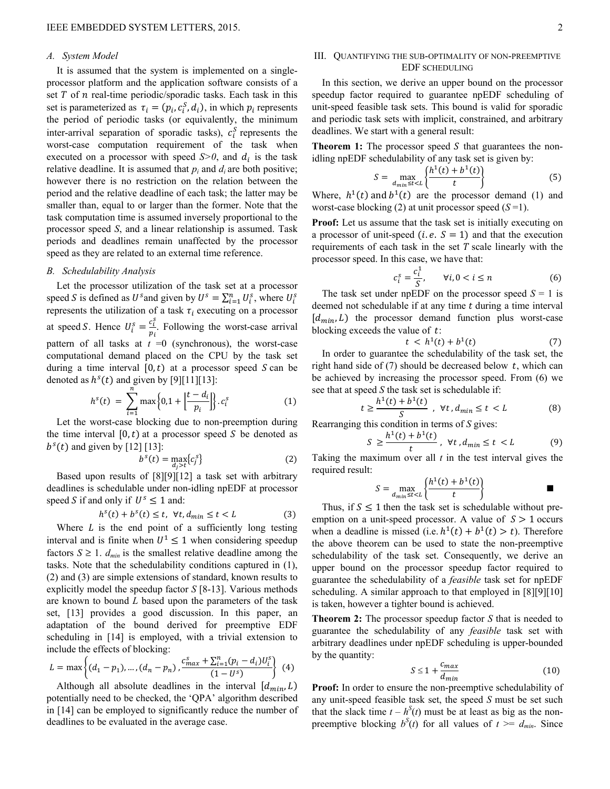## *A. System Model*

It is assumed that the system is implemented on a singleprocessor platform and the application software consists of a set  $T$  of  $n$  real-time periodic/sporadic tasks. Each task in this set is parameterized as  $\tau_i = (p_i, c_i^S, d_i)$ , in which  $p_i$  represents the period of periodic tasks (or equivalently, the minimum inter-arrival separation of sporadic tasks),  $c_i^S$  represents the worst-case computation requirement of the task when executed on a processor with speed  $S>0$ , and  $d_i$  is the task relative deadline. It is assumed that  $p_i$  and  $d_i$  are both positive; however there is no restriction on the relation between the period and the relative deadline of each task; the latter may be smaller than, equal to or larger than the former. Note that the task computation time is assumed inversely proportional to the processor speed *S*, and a linear relationship is assumed. Task periods and deadlines remain unaffected by the processor speed as they are related to an external time reference.

#### *B. Schedulability Analysis*

Let the processor utilization of the task set at a processor speed *S* is defined as  $U^s$  and given by  $U^s = \sum_{i=1}^n U_i^s$ , where  $U_i^s$ represents the utilization of a task  $\tau_i$  executing on a processor at speed S. Hence  $U_i^s = \frac{c_i^s}{n}$  $\frac{c_i}{p_i}$ . Following the worst-case arrival pattern of all tasks at  $t = 0$  (synchronous), the worst-case computational demand placed on the CPU by the task set during a time interval  $[0, t)$  at a processor speed S can be denoted as  $h^s(t)$  and given by [9][11][13]:

$$
h^{s}(t) = \sum_{i=1}^{n} \max\left\{0, 1 + \left|\frac{t - d_{i}}{p_{i}}\right|\right\} \cdot c_{i}^{s}
$$
 (1)

Let the worst-case blocking due to non-preemption during the time interval  $[0, t)$  at a processor speed S be denoted as  $b^{s}(t)$  and given by [12] [13]:

$$
b^s(t) = \max_{d_j > t} \{c_j^s\}
$$
 (2)

Based upon results of [8][9][12] a task set with arbitrary deadlines is schedulable under non-idling npEDF at processor speed S if and only if  $U^s \leq 1$  and:

$$
h^{s}(t) + b^{s}(t) \leq t, \ \forall t, d_{min} \leq t < L \tag{3}
$$

Where  $L$  is the end point of a sufficiently long testing interval and is finite when  $U^1 \leq 1$  when considering speedup factors  $S \geq 1$ .  $d_{min}$  is the smallest relative deadline among the tasks. Note that the schedulability conditions captured in (1), (2) and (3) are simple extensions of standard, known results to explicitly model the speedup factor *S* [8-13]. Various methods are known to bound *L* based upon the parameters of the task set, [13] provides a good discussion. In this paper, an adaptation of the bound derived for preemptive EDF scheduling in [14] is employed, with a trivial extension to include the effects of blocking:

$$
L = \max \left\{ (d_1 - p_1), \dots, (d_n - p_n), \frac{c_{max}^s + \sum_{i=1}^n (p_i - d_i) U_i^s}{(1 - U^s)} \right\}
$$
(4)

Although all absolute deadlines in the interval  $[d_{min}, L]$ potentially need to be checked, the 'QPA' algorithm described in [14] can be employed to significantly reduce the number of deadlines to be evaluated in the average case.

## III. QUANTIFYING THE SUB-OPTIMALITY OF NON-PREEMPTIVE EDF SCHEDULING

In this section, we derive an upper bound on the processor speedup factor required to guarantee npEDF scheduling of unit-speed feasible task sets. This bound is valid for sporadic and periodic task sets with implicit, constrained, and arbitrary deadlines. We start with a general result:

**Theorem 1:** The processor speed  $S$  that guarantees the nonidling npEDF schedulability of any task set is given by:

$$
S = \max_{d_{min} \le t < L} \left\{ \frac{h^1(t) + b^1(t)}{t} \right\} \tag{5}
$$

Where,  $h^1(t)$  and  $h^1(t)$  are the processor demand (1) and worst-case blocking (2) at unit processor speed (*S* =1).

**Proof:** Let us assume that the task set is initially executing on a processor of unit-speed (*i.e.*  $S = 1$ ) and that the execution requirements of each task in the set  $T$  scale linearly with the processor speed. In this case, we have that:

$$
c_i^s = \frac{c_i^1}{s}, \qquad \forall i, 0 < i \le n \tag{6}
$$

The task set under npEDF on the processor speed  $S = 1$  is deemed not schedulable if at any time  $t$  during a time interval  $[d_{min}, L)$  the processor demand function plus worst-case blocking exceeds the value of  $t$ :

$$
t \, < \, h^1(t) + b^1(t) \tag{7}
$$

In order to guarantee the schedulability of the task set, the right hand side of  $(7)$  should be decreased below  $t$ , which can be achieved by increasing the processor speed. From (6) we see that at speed *S* the task set is schedulable if:

$$
t \ge \frac{h^1(t) + b^1(t)}{S} , \quad \forall t , d_{min} \le t < L \tag{8}
$$

Rearranging this condition in terms of *S* gives:

$$
S \ge \frac{h^1(t) + h^1(t)}{t}, \ \forall t, d_{min} \le t < L \tag{9}
$$

Taking the maximum over all *t* in the test interval gives the required result:

$$
S = \max_{d_{min} \le t < L} \left\{ \frac{h^1(t) + h^1(t)}{t} \right\}
$$

Thus, if  $S \leq 1$  then the task set is schedulable without preemption on a unit-speed processor. A value of  $S > 1$  occurs when a deadline is missed (i.e.  $h^1(t) + b^1(t) > t$ ). Therefore the above theorem can be used to state the non-preemptive schedulability of the task set. Consequently, we derive an upper bound on the processor speedup factor required to guarantee the schedulability of a *feasible* task set for npEDF scheduling. A similar approach to that employed in [8][9][10] is taken, however a tighter bound is achieved.

**Theorem 2:** The processor speedup factor *S* that is needed to guarantee the schedulability of any *feasible* task set with arbitrary deadlines under npEDF scheduling is upper-bounded by the quantity:

$$
S \le 1 + \frac{c_{max}}{d_{min}} \tag{10}
$$

**Proof:** In order to ensure the non-preemptive schedulability of any unit-speed feasible task set, the speed *S* must be set such that the slack time  $t - h^{S}(t)$  must be at least as big as the nonpreemptive blocking  $b^{S}(t)$  for all values of  $t \geq d_{min}$ . Since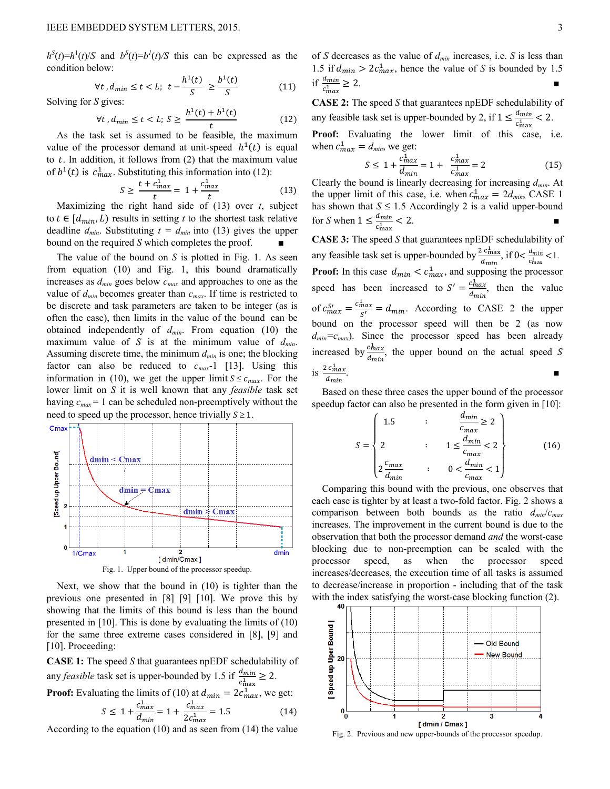$h^{S}(t) = h^{1}(t)/S$  and  $b^{S}(t) = b^{1}(t)/S$  this can be expressed as the condition below:

$$
\forall t \, d_{min} \le t < L; \ t - \frac{h^1(t)}{S} \ge \frac{b^1(t)}{S} \tag{11}
$$

Solving for *S* gives:

$$
\forall t \, d_{min} \le t < L; \ S \ge \frac{h^1(t) + b^1(t)}{t} \tag{12}
$$

As the task set is assumed to be feasible, the maximum value of the processor demand at unit-speed  $h^1(t)$  is equal to  $t$ . In addition, it follows from  $(2)$  that the maximum value of  $b^1(t)$  is  $c^1_{max}$ . Substituting this information into (12):

$$
S \ge \frac{t + c_{max}^1}{t} = 1 + \frac{c_{max}^1}{t}
$$
 (13)

Maximizing the right hand side of (13) over *t*, subject to  $t \in [d_{min}, L)$  results in setting *t* to the shortest task relative deadline  $d_{min}$ . Substituting  $t = d_{min}$  into (13) gives the upper bound on the required  $S$  which completes the proof.

The value of the bound on *S* is plotted in Fig. 1. As seen from equation (10) and Fig. 1, this bound dramatically increases as  $d_{min}$  goes below  $c_{max}$  and approaches to one as the value of  $d_{min}$  becomes greater than  $c_{max}$ . If time is restricted to be discrete and task parameters are taken to be integer (as is often the case), then limits in the value of the bound can be obtained independently of *dmin*. From equation (10) the maximum value of *S* is at the minimum value of  $d_{min}$ . Assuming discrete time, the minimum *dmin* is one; the blocking factor can also be reduced to  $c_{max}$ -1 [13]. Using this information in (10), we get the upper limit  $S \leq c_{max}$ . For the lower limit on *S* it is well known that any *feasible* task set having  $c_{max}$  = 1 can be scheduled non-preemptively without the need to speed up the processor, hence trivially  $S \geq 1$ .



Next, we show that the bound in (10) is tighter than the previous one presented in [8] [9] [10]. We prove this by showing that the limits of this bound is less than the bound presented in [10]. This is done by evaluating the limits of (10) for the same three extreme cases considered in [8], [9] and [10]. Proceeding:

**CASE 1:** The speed *S* that guarantees npEDF schedulability of any *feasible* task set is upper-bounded by 1.5 if  $\frac{d_{min}}{1}$  $rac{a_{min}}{c_{max}^1} \geq 2$ . **Proof:** Evaluating the limits of (10) at  $d_{min} = 2c_{max}^1$ , we get:  $S \leq 1 + \frac{c_{max}^1}{d}$  $rac{c_{max}^1}{d_{min}} = 1 + \frac{c_{max}^1}{2c_{max}^1}$  $\frac{max}{2c_{max}^1} = 1.5$  (14) According to the equation (10) and as seen from (14) the value

of *S* decreases as the value of *dmin* increases, i.e. *S* is less than 1.5 if  $d_{min} > 2c_{max}^1$ , hence the value of *S* is bounded by 1.5 if  $\frac{d_{min}}{1}$  $rac{a_{min}}{c_{max}^1} \geq 2$ .

**CASE 2:** The speed *S* that guarantees npEDF schedulability of any feasible task set is upper-bounded by 2, if  $1 \leq \frac{d_{min}}{c_{max}^1} < 2$ . **Proof:** Evaluating the lower limit of this case, i.e. when  $c_{max}^1 = d_{min}$ , we get:

$$
S \le 1 + \frac{c_{max}^1}{d_{min}} = 1 + \frac{c_{max}^1}{c_{max}^1} = 2
$$
 (15)

Clearly the bound is linearly decreasing for increasing *dmin*. At the upper limit of this case, i.e. when  $c_{max}^1 = 2d_{min}$ , CASE 1 has shown that  $S \leq 1.5$  Accordingly 2 is a valid upper-bound for *S* when  $1 \leq \frac{d_{min}}{c_{max}^1} < 2$ .

**CASE 3:** The speed *S* that guarantees npEDF schedulability of any feasible task set is upper-bounded by  $\frac{2 \text{ c}^2 \text{ max}}{l}$  $\frac{d}{d} \frac{c_{\text{max}}^2}{d_{\text{min}}}$ , if  $0 < \frac{d_{\text{min}}}{c_{\text{max}}^1} < 1$ . **Proof:** In this case  $d_{min} < c_{max}^1$ , and supposing the processor speed has been increased to  $S' = \frac{c_{max}^2}{l}$  $\frac{c_{max}}{d_{min}}$ , then the value of  $c_{max}^{S'} = \frac{c_{max}^2}{s'} = d_{min}$ . According to CASE 2 the upper bound on the processor speed will then be 2 (as now  $d_{min}=c_{max}$ ). Since the processor speed has been already increased by  $\frac{c_{max}^1}{1}$  $\frac{c_{max}}{d_{min}}$ , the upper bound on the actual speed S is  $\frac{2 \text{ } c_{max}^1}{4}$  $d_{min}$ . ■

Based on these three cases the upper bound of the processor speedup factor can also be presented in the form given in [10]:

$$
S = \begin{cases} 1.5 & : & \frac{d_{min}}{c_{max}} \ge 2 \\ 2 & : & 1 \le \frac{d_{min}}{c_{max}} < 2 \\ 2\frac{c_{max}}{d_{min}} & : & 0 < \frac{d_{min}}{c_{max}} < 1 \end{cases} \tag{16}
$$

Comparing this bound with the previous, one observes that each case is tighter by at least a two-fold factor. Fig. 2 shows a comparison between both bounds as the ratio *dmin*/*cmax* increases. The improvement in the current bound is due to the observation that both the processor demand *and* the worst-case blocking due to non-preemption can be scaled with the processor speed, as when the processor speed increases/decreases, the execution time of all tasks is assumed to decrease/increase in proportion - including that of the task with the index satisfying the worst-case blocking function (2).



Fig. 2. Previous and new upper-bounds of the processor speedup.